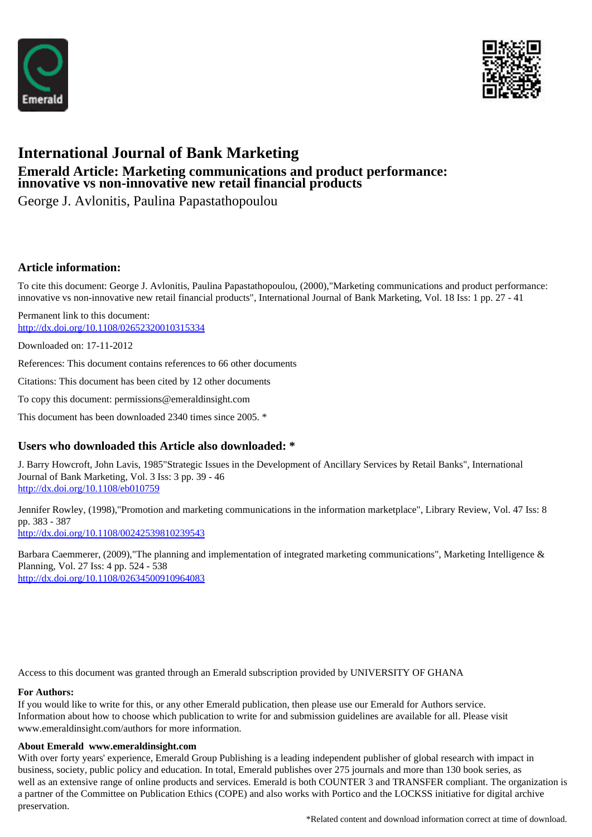



# **International Journal of Bank Marketing**

# **Emerald Article: Marketing communications and product performance: innovative vs non-innovative new retail financial products**

George J. Avlonitis, Paulina Papastathopoulou

# **Article information:**

To cite this document: George J. Avlonitis, Paulina Papastathopoulou, (2000),"Marketing communications and product performance: innovative vs non-innovative new retail financial products", International Journal of Bank Marketing, Vol. 18 Iss: 1 pp. 27 - 41

Permanent link to this document: http://dx.doi.org/10.1108/02652320010315334

Downloaded on: 17-11-2012

References: This document contains references to 66 other documents

Citations: This document has been cited by 12 other documents

To copy this document: permissions@emeraldinsight.com

This document has been downloaded 2340 times since 2005. \*

# **Users who downloaded this Article also downloaded: \***

J. Barry Howcroft, John Lavis, 1985"Strategic Issues in the Development of Ancillary Services by Retail Banks", International Journal of Bank Marketing, Vol. 3 Iss: 3 pp. 39 - 46 http://dx.doi.org/10.1108/eb010759

Jennifer Rowley, (1998),"Promotion and marketing communications in the information marketplace", Library Review, Vol. 47 Iss: 8 pp. 383 - 387

http://dx.doi.org/10.1108/00242539810239543

Barbara Caemmerer, (2009), "The planning and implementation of integrated marketing communications", Marketing Intelligence & Planning, Vol. 27 Iss: 4 pp. 524 - 538 http://dx.doi.org/10.1108/02634500910964083

Access to this document was granted through an Emerald subscription provided by UNIVERSITY OF GHANA

# **For Authors:**

If you would like to write for this, or any other Emerald publication, then please use our Emerald for Authors service. Information about how to choose which publication to write for and submission guidelines are available for all. Please visit www.emeraldinsight.com/authors for more information.

# **About Emerald www.emeraldinsight.com**

With over forty years' experience, Emerald Group Publishing is a leading independent publisher of global research with impact in business, society, public policy and education. In total, Emerald publishes over 275 journals and more than 130 book series, as well as an extensive range of online products and services. Emerald is both COUNTER 3 and TRANSFER compliant. The organization is a partner of the Committee on Publication Ethics (COPE) and also works with Portico and the LOCKSS initiative for digital archive preservation.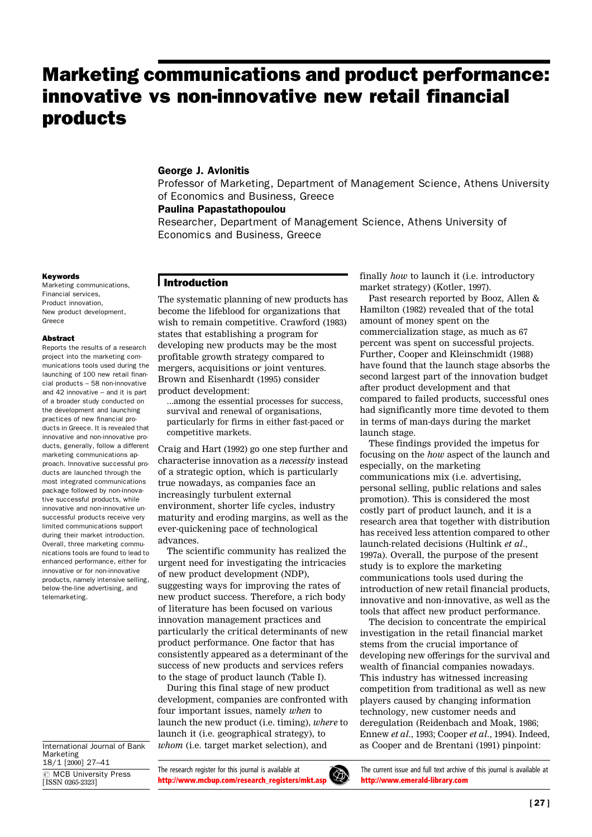# Marketing communications and product performance: innovative vs non-innovative new retail financial products

# George J. Avlonitis

Professor of Marketing, Department of Management Science, Athens University of Economics and Business, Greece

#### Paulina Papastathopoulou

Researcher, Department of Management Science, Athens University of Economics and Business, Greece

#### Keywords

Marketing communications, Financial services, Product innovation, New product development, Greece

#### Abstract

Reports the results of a research project into the marketing communications tools used during the launching of 100 new retail finan $cial$  products  $-58$  non-innovative and  $42$  innovative  $-$  and it is part of a broader study conducted on the development and launching practices of new financial products in Greece. It is revealed that innovative and non-innovative products, generally, follow a different marketing communications approach. Innovative successful products are launched through the most integrated communications package followed by non-innovative successful products, while innovative and non-innovative unsuccessful products receive very limited communications support during their market introduction. Overall, three marketing communications tools are found to lead to enhanced performance, either for innovative or for non-innovative products, namely intensive selling, below-the-line advertising, and telemarketing.

International Journal of Bank Marketing<br>18/1 [2000] 27–41

 $\overline{\circledcirc}$  MCB University Press [ISSN 0265-2323]

# Introduction

The systematic planning of new products has become the lifeblood for organizations that wish to remain competitive. Crawford (1983) states that establishing a program for developing new products may be the most profitable growth strategy compared to mergers, acquisitions or joint ventures. Brown and Eisenhardt (1995) consider product development:

...among the essential processes for success, survival and renewal of organisations, particularly for firms in either fast-paced or competitive markets.

Craig and Hart (1992) go one step further and characterise innovation as a necessity instead of a strategic option, which is particularly true nowadays, as companies face an increasingly turbulent external environment, shorter life cycles, industry maturity and eroding margins, as well as the ever-quickening pace of technological advances.

The scientific community has realized the urgent need for investigating the intricacies of new product development (NDP), suggesting ways for improving the rates of new product success. Therefore, a rich body of literature has been focused on various innovation management practices and particularly the critical determinants of new product performance. One factor that has consistently appeared as a determinant of the success of new products and services refers to the stage of product launch (Table I).

During this final stage of new product development, companies are confronted with four important issues, namely when to launch the new product (i.e. timing), where to launch it (i.e. geographical strategy), to whom (i.e. target market selection), and

The research register for this journal is available at [http://www.mcbup.com/research\\_registers/mkt.asp](http://www.mcbup.com/research_registers/mkt.asp)



finally how to launch it (i.e. introductory market strategy) (Kotler, 1997).

Past research reported by Booz, Allen & Hamilton (1982) revealed that of the total amount of money spent on the commercialization stage, as much as 67 percent was spent on successful projects. Further, Cooper and Kleinschmidt (1988) have found that the launch stage absorbs the second largest part of the innovation budget after product development and that compared to failed products, successful ones had significantly more time devoted to them in terms of man-days during the market launch stage.

These findings provided the impetus for focusing on the how aspect of the launch and especially, on the marketing communications mix (i.e. advertising, personal selling, public relations and sales promotion). This is considered the most costly part of product launch, and it is a research area that together with distribution has received less attention compared to other launch-related decisions (Hultink et al., 1997a). Overall, the purpose of the present study is to explore the marketing communications tools used during the introduction of new retail financial products, innovative and non-innovative, as well as the tools that affect new product performance.

The decision to concentrate the empirical investigation in the retail financial market stems from the crucial importance of developing new offerings for the survival and wealth of financial companies nowadays. This industry has witnessed increasing competition from traditional as well as new players caused by changing information technology, new customer needs and deregulation (Reidenbach and Moak, 1986; Ennew et al., 1993; Cooper et al., 1994). Indeed, as Cooper and de Brentani (1991) pinpoint:

The current issue and full text archive of this journal is available at <http://www.emerald-library.com>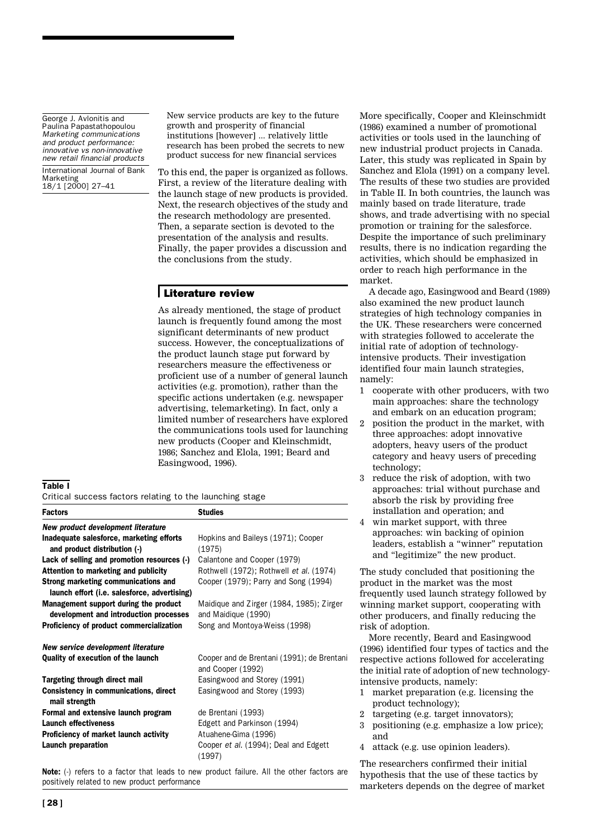George J. Avlonitis and Paulina Papastathopoulou Marketing communications<br>and product performance: innovative vs non-innovative new retail financial products

International Journal of Bank Marketing 18/1 [2000] 27-41

New service products are key to the future growth and prosperity of financial institutions [however] ... relatively little research has been probed the secrets to new product success for new financial services

To this end, the paper is organized as follows. First, a review of the literature dealing with the launch stage of new products is provided. Next, the research objectives of the study and the research methodology are presented. Then, a separate section is devoted to the presentation of the analysis and results. Finally, the paper provides a discussion and the conclusions from the study.

# Literature review

As already mentioned, the stage of product launch is frequently found among the most significant determinants of new product success. However, the conceptualizations of the product launch stage put forward by researchers measure the effectiveness or proficient use of a number of general launch activities (e.g. promotion), rather than the specific actions undertaken (e.g. newspaper advertising, telemarketing). In fact, only a limited number of researchers have explored the communications tools used for launching new products (Cooper and Kleinschmidt, 1986; Sanchez and Elola, 1991; Beard and Easingwood, 1996).

## Table I

Critical success factors relating to the launching stage

| <b>Factors</b>                                                | <b>Studies</b>                                                  |
|---------------------------------------------------------------|-----------------------------------------------------------------|
| New product development literature                            |                                                                 |
| Inadequate salesforce, marketing efforts                      | Hopkins and Baileys (1971); Cooper                              |
| and product distribution (-)                                  | (1975)                                                          |
| Lack of selling and promotion resources (-)                   | Calantone and Cooper (1979)                                     |
| Attention to marketing and publicity                          | Rothwell (1972); Rothwell et al. (1974)                         |
| Strong marketing communications and                           | Cooper (1979); Parry and Song (1994)                            |
| launch effort (i.e. salesforce, advertising)                  |                                                                 |
| Management support during the product                         | Maidique and Zirger (1984, 1985); Zirger                        |
| development and introduction processes                        | and Maidique (1990)                                             |
| <b>Proficiency of product commercialization</b>               | Song and Montoya-Weiss (1998)                                   |
|                                                               |                                                                 |
| New service development literature                            |                                                                 |
| <b>Quality of execution of the launch</b>                     | Cooper and de Brentani (1991); de Brentani<br>and Cooper (1992) |
| Targeting through direct mail                                 | Easingwood and Storey (1991)                                    |
|                                                               |                                                                 |
| <b>Consistency in communications, direct</b><br>mail strength | Easingwood and Storey (1993)                                    |
| Formal and extensive launch program                           | de Brentani (1993)                                              |
| <b>Launch effectiveness</b>                                   | Edgett and Parkinson (1994)                                     |
| Proficiency of market launch activity                         | Atuahene-Gima (1996)                                            |
| Launch preparation                                            | Cooper et al. (1994); Deal and Edgett<br>(1997)                 |

Note: (-) refers to a factor that leads to new product failure. All the other factors are positively related to new product performance

More specifically, Cooper and Kleinschmidt (1986) examined a number of promotional activities or tools used in the launching of new industrial product projects in Canada. Later, this study was replicated in Spain by Sanchez and Elola (1991) on a company level. The results of these two studies are provided in Table II. In both countries, the launch was mainly based on trade literature, trade shows, and trade advertising with no special promotion or training for the salesforce. Despite the importance of such preliminary results, there is no indication regarding the activities, which should be emphasized in order to reach high performance in the market.

A decade ago, Easingwood and Beard (1989) also examined the new product launch strategies of high technology companies in the UK. These researchers were concerned with strategies followed to accelerate the initial rate of adoption of technologyintensive products. Their investigation identified four main launch strategies, namely:

- 1 cooperate with other producers, with two main approaches: share the technology and embark on an education program;
- 2 position the product in the market, with three approaches: adopt innovative adopters, heavy users of the product category and heavy users of preceding technology;
- 3 reduce the risk of adoption, with two approaches: trial without purchase and absorb the risk by providing free installation and operation; and
- 4 win market support, with three approaches: win backing of opinion leaders, establish a "winner" reputation and "legitimize" the new product.

The study concluded that positioning the product in the market was the most frequently used launch strategy followed by winning market support, cooperating with other producers, and finally reducing the risk of adoption.

More recently, Beard and Easingwood (1996) identified four types of tactics and the respective actions followed for accelerating the initial rate of adoption of new technologyintensive products, namely:

- 1 market preparation (e.g. licensing the product technology);
- 2 targeting (e.g. target innovators):
- 3 positioning (e.g. emphasize a low price); and
- 4 attack (e.g. use opinion leaders).

The researchers confirmed their initial hypothesis that the use of these tactics by marketers depends on the degree of market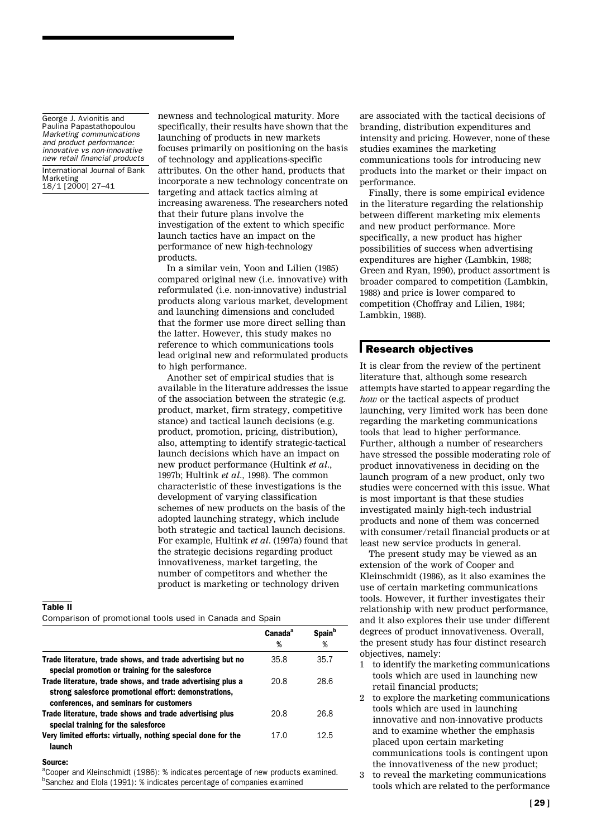newness and technological maturity. More specifically, their results have shown that the launching of products in new markets focuses primarily on positioning on the basis of technology and applications-specific attributes. On the other hand, products that incorporate a new technology concentrate on targeting and attack tactics aiming at increasing awareness. The researchers noted that their future plans involve the investigation of the extent to which specific launch tactics have an impact on the performance of new high-technology products.

In a similar vein, Yoon and Lilien (1985) compared original new (i.e. innovative) with reformulated (i.e. non-innovative) industrial products along various market, development and launching dimensions and concluded that the former use more direct selling than the latter. However, this study makes no reference to which communications tools lead original new and reformulated products to high performance.

Another set of empirical studies that is available in the literature addresses the issue of the association between the strategic (e.g. product, market, firm strategy, competitive stance) and tactical launch decisions (e.g. product, promotion, pricing, distribution), also, attempting to identify strategic-tactical launch decisions which have an impact on new product performance (Hultink et al., 1997b; Hultink et al., 1998). The common characteristic of these investigations is the development of varying classification schemes of new products on the basis of the adopted launching strategy, which include both strategic and tactical launch decisions. For example, Hultink et al. (1997a) found that the strategic decisions regarding product innovativeness, market targeting, the number of competitors and whether the product is marketing or technology driven

#### Table II

Comparison of promotional tools used in Canada and Spain

|                                                                                                                                                                 | Canada <sup>a</sup><br>% | <b>Spain</b> <sup>b</sup><br>% |
|-----------------------------------------------------------------------------------------------------------------------------------------------------------------|--------------------------|--------------------------------|
| Trade literature, trade shows, and trade advertising but no<br>special promotion or training for the salesforce                                                 | 35.8                     | 35.7                           |
| Trade literature, trade shows, and trade advertising plus a<br>strong salesforce promotional effort: demonstrations,<br>conferences, and seminars for customers | 20.8                     | 28.6                           |
| Trade literature, trade shows and trade advertising plus<br>special training for the salesforce                                                                 | 20.8                     | 26.8                           |
| Very limited efforts: virtually, nothing special done for the<br>launch                                                                                         | 17 O                     | 12.5                           |

#### Source:

<sup>a</sup>Cooper and Kleinschmidt (1986): % indicates percentage of new products examined. <sup>b</sup>Sanchez and Elola (1991): % indicates percentage of companies examined

are associated with the tactical decisions of branding, distribution expenditures and intensity and pricing. However, none of these studies examines the marketing communications tools for introducing new products into the market or their impact on performance.

Finally, there is some empirical evidence in the literature regarding the relationship between different marketing mix elements and new product performance. More specifically, a new product has higher possibilities of success when advertising expenditures are higher (Lambkin, 1988; Green and Ryan, 1990), product assortment is broader compared to competition (Lambkin, 1988) and price is lower compared to competition (Choffray and Lilien, 1984; Lambkin, 1988).

## Research objectives

It is clear from the review of the pertinent literature that, although some research attempts have started to appear regarding the how or the tactical aspects of product launching, very limited work has been done regarding the marketing communications tools that lead to higher performance. Further, although a number of researchers have stressed the possible moderating role of product innovativeness in deciding on the launch program of a new product, only two studies were concerned with this issue. What is most important is that these studies investigated mainly high-tech industrial products and none of them was concerned with consumer/retail financial products or at least new service products in general.

The present study may be viewed as an extension of the work of Cooper and Kleinschmidt (1986), as it also examines the use of certain marketing communications tools. However, it further investigates their relationship with new product performance, and it also explores their use under different degrees of product innovativeness. Overall, the present study has four distinct research objectives, namely:

- 1 to identify the marketing communications tools which are used in launching new retail financial products;
- 2 to explore the marketing communications tools which are used in launching innovative and non-innovative products and to examine whether the emphasis placed upon certain marketing communications tools is contingent upon the innovativeness of the new product;
- 3 to reveal the marketing communications tools which are related to the performance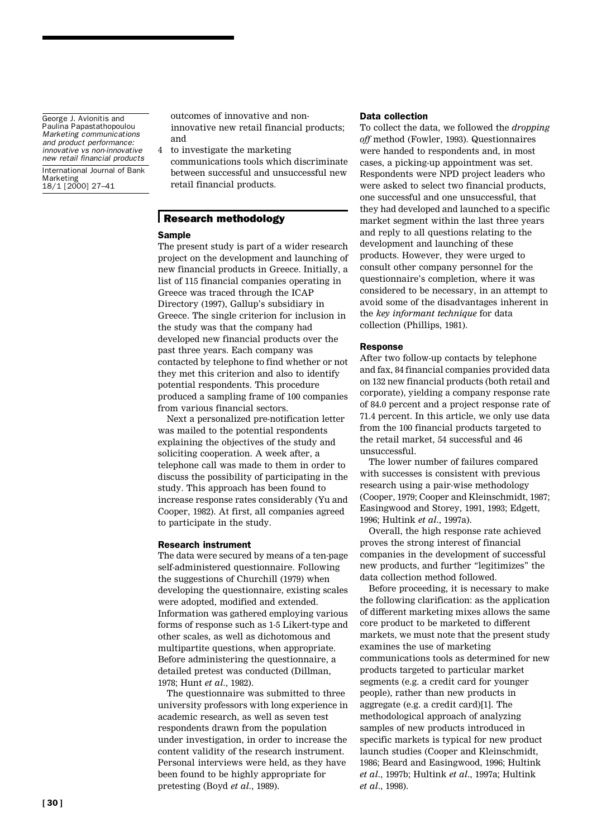outcomes of innovative and noninnovative new retail financial products; and

4 to investigate the marketing

communications tools which discriminate between successful and unsuccessful new retail financial products.

# Research methodology

# **Sample**

The present study is part of a wider research project on the development and launching of new financial products in Greece. Initially, a list of 115 financial companies operating in Greece was traced through the ICAP Directory (1997), Gallup's subsidiary in Greece. The single criterion for inclusion in the study was that the company had developed new financial products over the past three years. Each company was contacted by telephone to find whether or not they met this criterion and also to identify potential respondents. This procedure produced a sampling frame of 100 companies from various financial sectors.

Next a personalized pre-notification letter was mailed to the potential respondents explaining the objectives of the study and soliciting cooperation. A week after, a telephone call was made to them in order to discuss the possibility of participating in the study. This approach has been found to increase response rates considerably (Yu and Cooper, 1982). At first, all companies agreed to participate in the study.

#### Research instrument

The data were secured by means of a ten-page self-administered questionnaire. Following the suggestions of Churchill (1979) when developing the questionnaire, existing scales were adopted, modified and extended. Information was gathered employing various forms of response such as 1-5 Likert-type and other scales, as well as dichotomous and multipartite questions, when appropriate. Before administering the questionnaire, a detailed pretest was conducted (Dillman, 1978; Hunt et al., 1982).

The questionnaire was submitted to three university professors with long experience in academic research, as well as seven test respondents drawn from the population under investigation, in order to increase the content validity of the research instrument. Personal interviews were held, as they have been found to be highly appropriate for pretesting (Boyd et al., 1989).

#### Data collection

To collect the data, we followed the dropping off method (Fowler, 1993). Questionnaires were handed to respondents and, in most cases, a picking-up appointment was set. Respondents were NPD project leaders who were asked to select two financial products, one successful and one unsuccessful, that they had developed and launched to a specific market segment within the last three years and reply to all questions relating to the development and launching of these products. However, they were urged to consult other company personnel for the questionnaire's completion, where it was considered to be necessary, in an attempt to avoid some of the disadvantages inherent in the key informant technique for data collection (Phillips, 1981).

#### Response

After two follow-up contacts by telephone and fax, 84 financial companies provided data on 132 new financial products (both retail and corporate), yielding a company response rate of 84.0 percent and a project response rate of 71.4 percent. In this article, we only use data from the 100 financial products targeted to the retail market, 54 successful and 46 unsuccessful.

The lower number of failures compared with successes is consistent with previous research using a pair-wise methodology (Cooper, 1979; Cooper and Kleinschmidt, 1987; Easingwood and Storey, 1991, 1993; Edgett, 1996; Hultink et al., 1997a).

Overall, the high response rate achieved proves the strong interest of financial companies in the development of successful new products, and further "legitimizes" the data collection method followed.

Before proceeding, it is necessary to make the following clarification: as the application of different marketing mixes allows the same core product to be marketed to different markets, we must note that the present study examines the use of marketing communications tools as determined for new products targeted to particular market segments (e.g. a credit card for younger people), rather than new products in aggregate (e.g. a credit card)[1]. The methodological approach of analyzing samples of new products introduced in specific markets is typical for new product launch studies (Cooper and Kleinschmidt, 1986; Beard and Easingwood, 1996; Hultink et al., 1997b; Hultink et al., 1997a; Hultink et al., 1998).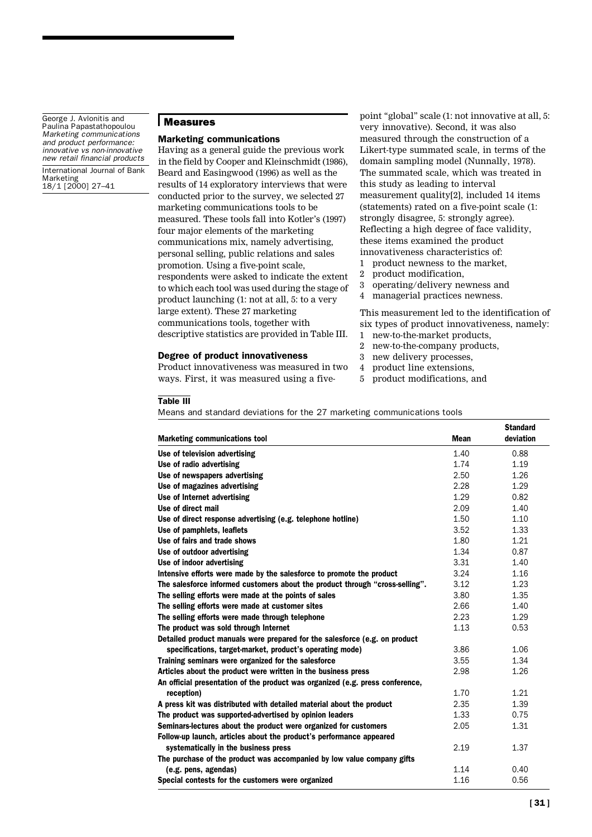# **Measures**

## Marketing communications

Having as a general guide the previous work in the field by Cooper and Kleinschmidt (1986), Beard and Easingwood (1996) as well as the results of 14 exploratory interviews that were conducted prior to the survey, we selected 27 marketing communications tools to be measured. These tools fall into Kotler's (1997) four major elements of the marketing communications mix, namely advertising, personal selling, public relations and sales promotion. Using a five-point scale, respondents were asked to indicate the extent to which each tool was used during the stage of product launching (1: not at all, 5: to a very large extent). These 27 marketing communications tools, together with descriptive statistics are provided in Table III.

Degree of product innovativeness

Product innovativeness was measured in two ways. First, it was measured using a fivepoint "global" scale (1: not innovative at all, 5: very innovative). Second, it was also measured through the construction of a Likert-type summated scale, in terms of the domain sampling model (Nunnally, 1978). The summated scale, which was treated in this study as leading to interval measurement quality[2], included 14 items (statements) rated on a five-point scale (1: strongly disagree, 5: strongly agree). Reflecting a high degree of face validity, these items examined the product innovativeness characteristics of:

- 1 product newness to the market,
- 2 product modification,
- 3 operating/delivery newness and
- 4 managerial practices newness.

This measurement led to the identification of six types of product innovativeness, namely:

- 1 new-to-the-market products,
- 2 new-to-the-company products,
- 3 new delivery processes,
- 4 product line extensions,
- 5 product modifications, and

#### Table III

Means and standard deviations for the 27 marketing communications tools

|                                                                               |             | <b>Standard</b> |
|-------------------------------------------------------------------------------|-------------|-----------------|
| <b>Marketing communications tool</b>                                          | <b>Mean</b> | deviation       |
| Use of television advertising                                                 | 1.40        | 0.88            |
| Use of radio advertising                                                      | 1.74        | 1.19            |
| Use of newspapers advertising                                                 | 2.50        | 1.26            |
| Use of magazines advertising                                                  | 2.28        | 1.29            |
| Use of Internet advertising                                                   | 1.29        | 0.82            |
| Use of direct mail                                                            | 2.09        | 1.40            |
| Use of direct response advertising (e.g. telephone hotline)                   | 1.50        | 1.10            |
| Use of pamphlets, leaflets                                                    | 3.52        | 1.33            |
| Use of fairs and trade shows                                                  | 1.80        | 1.21            |
| Use of outdoor advertising                                                    | 1.34        | 0.87            |
| Use of indoor advertising                                                     | 3.31        | 1.40            |
| Intensive efforts were made by the salesforce to promote the product          | 3.24        | 1.16            |
| The salesforce informed customers about the product through "cross-selling".  | 3.12        | 1.23            |
| The selling efforts were made at the points of sales                          | 3.80        | 1.35            |
| The selling efforts were made at customer sites                               | 2.66        | 1.40            |
| The selling efforts were made through telephone                               | 2.23        | 1.29            |
| The product was sold through Internet                                         | 1.13        | 0.53            |
| Detailed product manuals were prepared for the salesforce (e.g. on product    |             |                 |
| specifications, target-market, product's operating mode)                      | 3.86        | 1.06            |
| Training seminars were organized for the salesforce                           | 3.55        | 1.34            |
| Articles about the product were written in the business press                 | 2.98        | 1.26            |
| An official presentation of the product was organized (e.g. press conference, |             |                 |
| reception)                                                                    | 1.70        | 1.21            |
| A press kit was distributed with detailed material about the product          | 2.35        | 1.39            |
| The product was supported-advertised by opinion leaders                       | 1.33        | 0.75            |
| Seminars-lectures about the product were organized for customers              | 2.05        | 1.31            |
| Follow-up launch, articles about the product's performance appeared           |             |                 |
| systematically in the business press                                          | 2.19        | 1.37            |
| The purchase of the product was accompanied by low value company gifts        |             |                 |
| (e.g. pens, agendas)                                                          | 1.14        | 0.40            |
| Special contests for the customers were organized                             | 1.16        | 0.56            |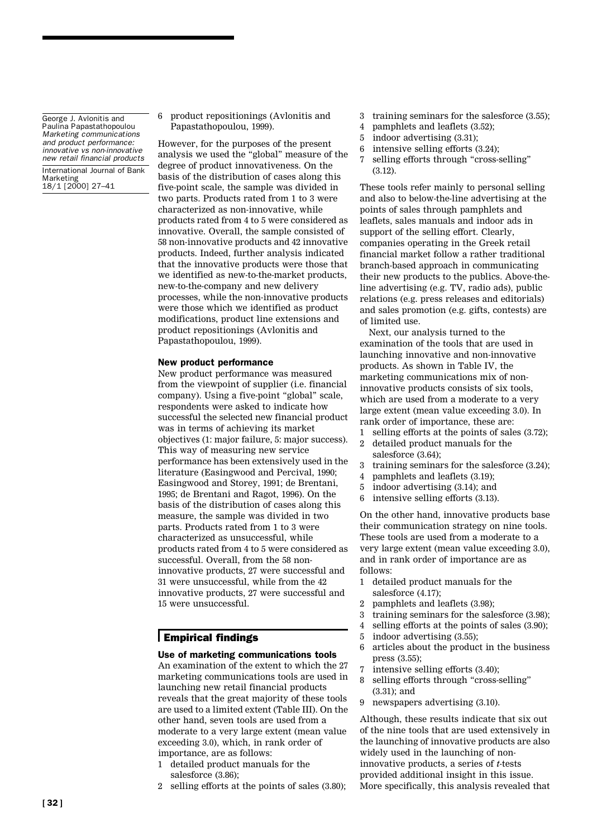6 product repositionings (Avlonitis and Papastathopoulou, 1999).

However, for the purposes of the present analysis we used the "global" measure of the degree of product innovativeness. On the basis of the distribution of cases along this five-point scale, the sample was divided in two parts. Products rated from 1 to 3 were characterized as non-innovative, while products rated from 4 to 5 were considered as innovative. Overall, the sample consisted of 58 non-innovative products and 42 innovative products. Indeed, further analysis indicated that the innovative products were those that we identified as new-to-the-market products, new-to-the-company and new delivery processes, while the non-innovative products were those which we identified as product modifications, product line extensions and product repositionings (Avlonitis and Papastathopoulou, 1999).

#### New product performance

New product performance was measured from the viewpoint of supplier (i.e. financial company). Using a five-point "global" scale, respondents were asked to indicate how successful the selected new financial product was in terms of achieving its market objectives (1: major failure, 5: major success). This way of measuring new service performance has been extensively used in the literature (Easingwood and Percival, 1990; Easingwood and Storey, 1991; de Brentani, 1995; de Brentani and Ragot, 1996). On the basis of the distribution of cases along this measure, the sample was divided in two parts. Products rated from 1 to 3 were characterized as unsuccessful, while products rated from 4 to 5 were considered as successful. Overall, from the 58 noninnovative products, 27 were successful and 31 were unsuccessful, while from the 42 innovative products, 27 were successful and 15 were unsuccessful.

# Empirical findings

## Use of marketing communications tools

An examination of the extent to which the 27 marketing communications tools are used in launching new retail financial products reveals that the great majority of these tools are used to a limited extent (Table III). On the other hand, seven tools are used from a moderate to a very large extent (mean value exceeding 3.0), which, in rank order of importance, are as follows:

- 1 detailed product manuals for the salesforce (3.86);
- 2 selling efforts at the points of sales (3.80);
- 3 training seminars for the salesforce (3.55);
- 4 pamphlets and leaflets (3.52);
- 5 indoor advertising (3.31);
- 6 intensive selling efforts (3.24);
- 7 selling efforts through "cross-selling" (3.12).

These tools refer mainly to personal selling and also to below-the-line advertising at the points of sales through pamphlets and leaflets, sales manuals and indoor ads in support of the selling effort. Clearly, companies operating in the Greek retail financial market follow a rather traditional branch-based approach in communicating their new products to the publics. Above-theline advertising (e.g. TV, radio ads), public relations (e.g. press releases and editorials) and sales promotion (e.g. gifts, contests) are of limited use.

Next, our analysis turned to the examination of the tools that are used in launching innovative and non-innovative products. As shown in Table IV, the marketing communications mix of noninnovative products consists of six tools, which are used from a moderate to a very large extent (mean value exceeding 3.0). In rank order of importance, these are:

- 1 selling efforts at the points of sales (3.72); 2 detailed product manuals for the
- salesforce (3.64);
- 3 training seminars for the salesforce (3.24);
- 4 pamphlets and leaflets (3.19);
- 5 indoor advertising (3.14); and
- 6 intensive selling efforts (3.13).

On the other hand, innovative products base their communication strategy on nine tools. These tools are used from a moderate to a very large extent (mean value exceeding 3.0), and in rank order of importance are as follows:

- 1 detailed product manuals for the salesforce (4.17);
- 2 pamphlets and leaflets (3.98);
- 3 training seminars for the salesforce (3.98);
- 4 selling efforts at the points of sales (3.90);
- 5 indoor advertising (3.55);
- 6 articles about the product in the business press (3.55);
- 7 intensive selling efforts (3.40);
- 8 selling efforts through "cross-selling" (3.31); and
- 9 newspapers advertising (3.10).

Although, these results indicate that six out of the nine tools that are used extensively in the launching of innovative products are also widely used in the launching of noninnovative products, a series of  $t$ -tests provided additional insight in this issue. More specifically, this analysis revealed that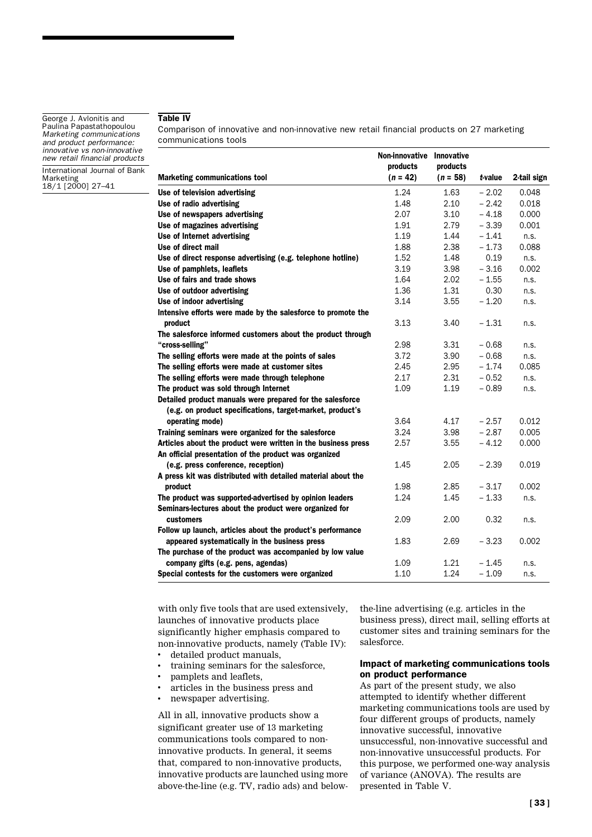## Table IV

George J. Avlonitis and Paulina Papastathopoulou Marketing communications and product performance: innovative vs non-innovative new retail financial products International Journal of Bank

Marketing 18/1 [2000] 27-41 Comparison of innovative and non-innovative new retail financial products on 27 marketing communications tools

| <b>Marketing communications tool</b>                          | Non-innovative<br>products<br>$(n = 42)$ | Innovative<br>products<br>$(n = 58)$ | t-value | 2-tail sign |
|---------------------------------------------------------------|------------------------------------------|--------------------------------------|---------|-------------|
| Use of television advertising                                 | 1.24                                     | 1.63                                 | $-2.02$ | 0.048       |
|                                                               |                                          |                                      | $-2.42$ | 0.018       |
| Use of radio advertising                                      | 1.48<br>2.07                             | 2.10                                 |         |             |
| Use of newspapers advertising                                 |                                          | 3.10                                 | $-4.18$ | 0.000       |
| Use of magazines advertising                                  | 1.91                                     | 2.79                                 | $-3.39$ | 0.001       |
| Use of Internet advertising                                   | 1.19                                     | 1.44                                 | $-1.41$ | n.s.        |
| Use of direct mail                                            | 1.88                                     | 2.38                                 | $-1.73$ | 0.088       |
| Use of direct response advertising (e.g. telephone hotline)   | 1.52                                     | 1.48                                 | 0.19    | n.s.        |
| Use of pamphlets, leaflets                                    | 3.19                                     | 3.98                                 | $-3.16$ | 0.002       |
| Use of fairs and trade shows                                  | 1.64                                     | 2.02                                 | $-1.55$ | n.s.        |
| Use of outdoor advertising                                    | 1.36                                     | 1.31                                 | 0.30    | n.s.        |
| Use of indoor advertising                                     | 3.14                                     | 3.55                                 | $-1.20$ | n.s.        |
| Intensive efforts were made by the salesforce to promote the  |                                          |                                      |         |             |
| product                                                       | 3.13                                     | 3.40                                 | $-1.31$ | n.s.        |
| The salesforce informed customers about the product through   |                                          |                                      |         |             |
| "cross-selling"                                               | 2.98                                     | 3.31                                 | $-0.68$ | n.s.        |
| The selling efforts were made at the points of sales          | 3.72                                     | 3.90                                 | $-0.68$ | n.s.        |
| The selling efforts were made at customer sites               | 2.45                                     | 2.95                                 | $-1.74$ | 0.085       |
| The selling efforts were made through telephone               | 2.17                                     | 2.31                                 | $-0.52$ | n.s.        |
| The product was sold through Internet                         | 1.09                                     | 1.19                                 | $-0.89$ | n.s.        |
| Detailed product manuals were prepared for the salesforce     |                                          |                                      |         |             |
| (e.g. on product specifications, target-market, product's     |                                          |                                      |         |             |
| operating mode)                                               | 3.64                                     | 4.17                                 | $-2.57$ | 0.012       |
| Training seminars were organized for the salesforce           | 3.24                                     | 3.98                                 | $-2.87$ | 0.005       |
| Articles about the product were written in the business press | 2.57                                     | 3.55                                 | $-4.12$ | 0.000       |
| An official presentation of the product was organized         |                                          |                                      |         |             |
| (e.g. press conference, reception)                            | 1.45                                     | 2.05                                 | $-2.39$ | 0.019       |
| A press kit was distributed with detailed material about the  |                                          |                                      |         |             |
| product                                                       | 1.98                                     | 2.85                                 | $-3.17$ | 0.002       |
| The product was supported-advertised by opinion leaders       | 1.24                                     | 1.45                                 | $-1.33$ | n.s.        |
| Seminars-lectures about the product were organized for        |                                          |                                      |         |             |
| customers                                                     | 2.09                                     | 2.00                                 | 0.32    | n.s.        |
| Follow up launch, articles about the product's performance    |                                          |                                      |         |             |
| appeared systematically in the business press                 | 1.83                                     | 2.69                                 | $-3.23$ | 0.002       |
| The purchase of the product was accompanied by low value      |                                          |                                      |         |             |
| company gifts (e.g. pens, agendas)                            | 1.09                                     | 1.21                                 | $-1.45$ | n.s.        |
| Special contests for the customers were organized             | 1.10                                     | 1.24                                 | $-1.09$ | n.s.        |

with only five tools that are used extensively, launches of innovative products place significantly higher emphasis compared to non-innovative products, namely (Table IV):

- . detailed product manuals,
- . training seminars for the salesforce,
- . pamplets and leaflets,
- . articles in the business press and
- . newspaper advertising.

All in all, innovative products show a significant greater use of 13 marketing communications tools compared to noninnovative products. In general, it seems that, compared to non-innovative products, innovative products are launched using more above-the-line (e.g. TV, radio ads) and belowthe-line advertising (e.g. articles in the business press), direct mail, selling efforts at customer sites and training seminars for the salesforce.

## Impact of marketing communications tools on product performance

As part of the present study, we also attempted to identify whether different marketing communications tools are used by four different groups of products, namely innovative successful, innovative unsuccessful, non-innovative successful and non-innovative unsuccessful products. For this purpose, we performed one-way analysis of variance (ANOVA). The results are presented in Table V.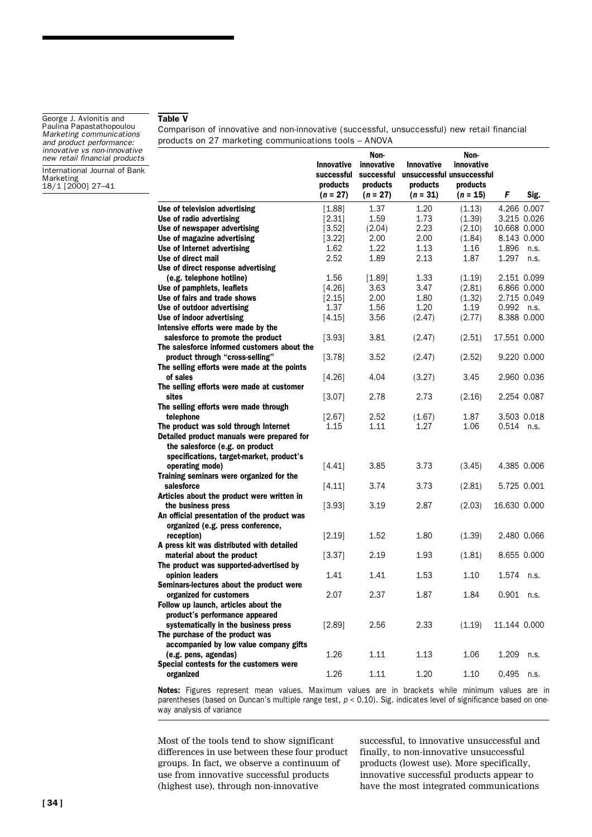# Table V

George J. Avlonitis and Paulina Papastathopoulou Marketing communications and product performance: innovative vs non-innovative new retail financial products

International Journal of Bank Marketing<br>18/1 [2000] 27–41

| .                                                                                           |  |  |  |
|---------------------------------------------------------------------------------------------|--|--|--|
| Comparison of innovative and non-innovative (successful, unsuccessful) new retail financial |  |  |  |
| products on 27 marketing communications tools – ANOVA                                       |  |  |  |

|                                             | Innovative | Non-<br>innovative | <b>Innovative</b>         | Non-<br>innovative |              |             |
|---------------------------------------------|------------|--------------------|---------------------------|--------------------|--------------|-------------|
|                                             | successful | successful         | unsuccessful unsuccessful |                    |              |             |
|                                             | products   | products           | products                  | products           |              |             |
|                                             | $(n = 27)$ | $(n = 27)$         | $(n = 31)$                | $(n = 15)$         | F            | Sig.        |
| Use of television advertising               | [1.88]     | 1.37               | 1.20                      | (1.13)             |              | 4.266 0.007 |
| Use of radio advertising                    | [2.31]     | 1.59               | 1.73                      | (1.39)             |              | 3.215 0.026 |
| Use of newspaper advertising                | [3.52]     | (2.04)             | 2.23                      | (2.10)             | 10.668 0.000 |             |
| Use of magazine advertising                 | [3.22]     | 2.00               | 2.00                      | (1.84)             |              | 8.143 0.000 |
| Use of Internet advertising                 | 1.62       | 1.22               | 1.13                      | 1.16               | 1.896        | n.S.        |
| Use of direct mail                          | 2.52       | 1.89               | 2.13                      | 1.87               | 1.297        | n.S.        |
| Use of direct response advertising          |            |                    |                           |                    |              |             |
| (e.g. telephone hotline)                    | 1.56       | [1.89]             | 1.33                      | (1.19)             |              | 2.151 0.099 |
| Use of pamphlets, leaflets                  | [4.26]     | 3.63               | 3.47                      | (2.81)             |              | 6.866 0.000 |
| Use of fairs and trade shows                | [2.15]     | 2.00               | 1.80                      | (1.32)             |              | 2.715 0.049 |
| Use of outdoor advertising                  | 1.37       | 1.56               | 1.20                      | 1.19               | $0.992$ n.s. |             |
| Use of indoor advertising                   | [4.15]     | 3.56               | (2.47)                    | (2.77)             |              | 8.388 0.000 |
| Intensive efforts were made by the          |            |                    |                           |                    |              |             |
| salesforce to promote the product           | [3.93]     | 3.81               | (2.47)                    | (2.51)             | 17.551 0.000 |             |
| The salesforce informed customers about the |            |                    |                           |                    |              |             |
| product through "cross-selling"             | [3.78]     | 3.52               | (2.47)                    | (2.52)             |              | 9.220 0.000 |
| The selling efforts were made at the points |            |                    |                           |                    |              |             |
| of sales                                    | [4.26]     | 4.04               | (3.27)                    | 3.45               |              | 2.960 0.036 |
| The selling efforts were made at customer   |            |                    |                           |                    |              |             |
| sites                                       | [3.07]     | 2.78               | 2.73                      | (2.16)             |              | 2.254 0.087 |
| The selling efforts were made through       |            |                    |                           |                    |              |             |
| telephone                                   | [2.67]     | 2.52               | (1.67)                    | 1.87               |              | 3.503 0.018 |
| The product was sold through Internet       | 1.15       | 1.11               | 1.27                      | 1.06               | $0.514$ n.s. |             |
| Detailed product manuals were prepared for  |            |                    |                           |                    |              |             |
| the salesforce (e.g. on product             |            |                    |                           |                    |              |             |
| specifications, target-market, product's    |            |                    |                           |                    |              |             |
| operating mode)                             | [4.41]     | 3.85               | 3.73                      | (3.45)             |              | 4.385 0.006 |
| Training seminars were organized for the    |            |                    |                           |                    |              |             |
| salesforce                                  | [4.11]     | 3.74               | 3.73                      | (2.81)             |              | 5.725 0.001 |
| Articles about the product were written in  |            |                    |                           |                    |              |             |
| the business press                          | [3.93]     | 3.19               | 2.87                      | (2.03)             | 16.630 0.000 |             |
| An official presentation of the product was |            |                    |                           |                    |              |             |
| organized (e.g. press conference,           |            |                    |                           |                    |              |             |
| reception)                                  | [2.19]     | 1.52               | 1.80                      | (1.39)             |              | 2.480 0.066 |
| A press kit was distributed with detailed   |            |                    |                           |                    |              |             |
| material about the product                  | [3.37]     | 2.19               | 1.93                      | (1.81)             |              | 8.655 0.000 |
| The product was supported-advertised by     |            |                    |                           |                    |              |             |
| opinion leaders                             | 1.41       | 1.41               | 1.53                      | 1.10               | $1.574$ n.s. |             |
| Seminars-lectures about the product were    |            |                    |                           |                    |              |             |
| organized for customers                     | 2.07       | 2.37               | 1.87                      | 1.84               | 0.901 n.s.   |             |
| Follow up launch, articles about the        |            |                    |                           |                    |              |             |
| product's performance appeared              |            |                    |                           |                    |              |             |
| systematically in the business press        | [2.89]     | 2.56               | 2.33                      | (1.19)             | 11.144 0.000 |             |
| The purchase of the product was             |            |                    |                           |                    |              |             |
| accompanied by low value company gifts      |            |                    |                           |                    |              |             |
| (e.g. pens, agendas)                        | 1.26       | 1.11               | 1.13                      | 1.06               | 1.209        | n.s.        |
| Special contests for the customers were     |            |                    |                           |                    |              |             |
| organized                                   | 1.26       | 1.11               | 1.20                      | 1.10               | 0.495        | n.s.        |

Notes: Figures represent mean values. Maximum values are in brackets while minimum values are in parentheses (based on Duncan's multiple range test,  $p < 0.10$ ). Sig. indicates level of significance based on oneway analysis of variance

Most of the tools tend to show significant differences in use between these four product groups. In fact, we observe a continuum of use from innovative successful products (highest use), through non-innovative

successful, to innovative unsuccessful and finally, to non-innovative unsuccessful products (lowest use). More specifically, innovative successful products appear to have the most integrated communications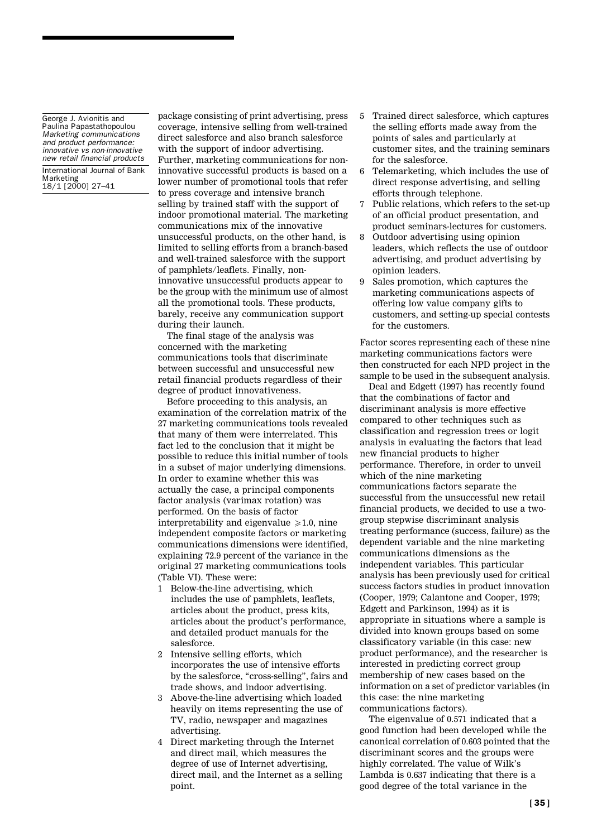package consisting of print advertising, press coverage, intensive selling from well-trained direct salesforce and also branch salesforce with the support of indoor advertising. Further, marketing communications for noninnovative successful products is based on a lower number of promotional tools that refer to press coverage and intensive branch selling by trained staff with the support of indoor promotional material. The marketing communications mix of the innovative unsuccessful products, on the other hand, is limited to selling efforts from a branch-based and well-trained salesforce with the support of pamphlets/leaflets. Finally, noninnovative unsuccessful products appear to be the group with the minimum use of almost all the promotional tools. These products, barely, receive any communication support during their launch.

The final stage of the analysis was concerned with the marketing communications tools that discriminate between successful and unsuccessful new retail financial products regardless of their degree of product innovativeness.

Before proceeding to this analysis, an examination of the correlation matrix of the 27 marketing communications tools revealed that many of them were interrelated. This fact led to the conclusion that it might be possible to reduce this initial number of tools in a subset of major underlying dimensions. In order to examine whether this was actually the case, a principal components factor analysis (varimax rotation) was performed. On the basis of factor interpretability and eigenvalue  $\geq 1.0$ , nine independent composite factors or marketing communications dimensions were identified, explaining 72.9 percent of the variance in the original 27 marketing communications tools (Table VI). These were:

- 1 Below-the-line advertising, which includes the use of pamphlets, leaflets, articles about the product, press kits, articles about the product's performance, and detailed product manuals for the salesforce.
- 2 Intensive selling efforts, which incorporates the use of intensive efforts by the salesforce, "cross-selling", fairs and trade shows, and indoor advertising.
- 3 Above-the-line advertising which loaded heavily on items representing the use of TV, radio, newspaper and magazines advertising.
- 4 Direct marketing through the Internet and direct mail, which measures the degree of use of Internet advertising, direct mail, and the Internet as a selling point.
- 5 Trained direct salesforce, which captures the selling efforts made away from the points of sales and particularly at customer sites, and the training seminars for the salesforce.
- 6 Telemarketing, which includes the use of direct response advertising, and selling efforts through telephone.
- 7 Public relations, which refers to the set-up of an official product presentation, and product seminars-lectures for customers.
- 8 Outdoor advertising using opinion leaders, which reflects the use of outdoor advertising, and product advertising by opinion leaders.
- 9 Sales promotion, which captures the marketing communications aspects of offering low value company gifts to customers, and setting-up special contests for the customers.

Factor scores representing each of these nine marketing communications factors were then constructed for each NPD project in the sample to be used in the subsequent analysis.

Deal and Edgett (1997) has recently found that the combinations of factor and discriminant analysis is more effective compared to other techniques such as classification and regression trees or logit analysis in evaluating the factors that lead new financial products to higher performance. Therefore, in order to unveil which of the nine marketing communications factors separate the successful from the unsuccessful new retail financial products, we decided to use a twogroup stepwise discriminant analysis treating performance (success, failure) as the dependent variable and the nine marketing communications dimensions as the independent variables. This particular analysis has been previously used for critical success factors studies in product innovation (Cooper, 1979; Calantone and Cooper, 1979; Edgett and Parkinson, 1994) as it is appropriate in situations where a sample is divided into known groups based on some classificatory variable (in this case: new product performance), and the researcher is interested in predicting correct group membership of new cases based on the information on a set of predictor variables (in this case: the nine marketing communications factors).

The eigenvalue of 0.571 indicated that a good function had been developed while the canonical correlation of 0.603 pointed that the discriminant scores and the groups were highly correlated. The value of Wilk's Lambda is 0.637 indicating that there is a good degree of the total variance in the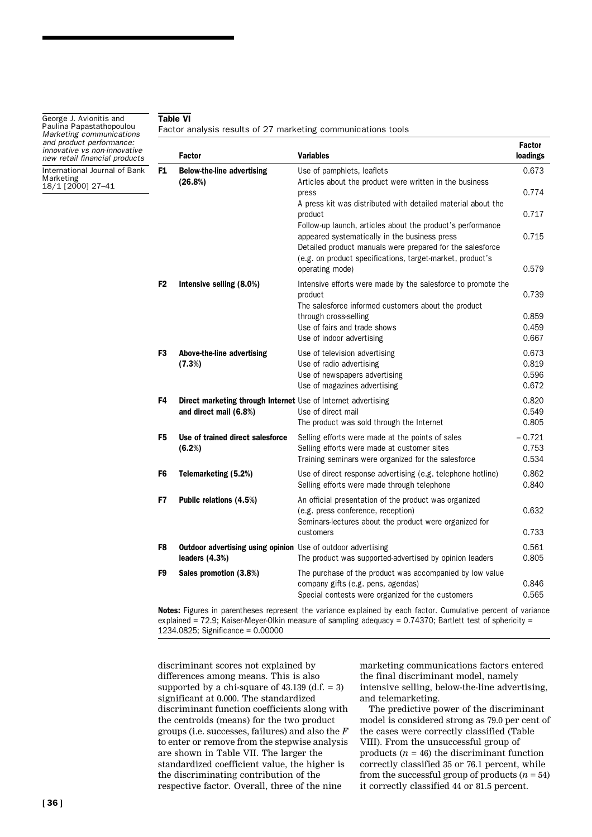# Table VI

George J. Avlonitis and Paulina Papastathopoulou Marketing communications and product performance: innovative vs non-innovative new retail financial products International Journal of Bank Marketing 18/1 [2000] 27-41

|  |  | Factor analysis results of 27 marketing communications tools |  |
|--|--|--------------------------------------------------------------|--|
|  |  |                                                              |  |

|                | <b>Factor</b>                                                       | <b>Variables</b>                                                                                                                                                         | <b>Factor</b><br>loadings |
|----------------|---------------------------------------------------------------------|--------------------------------------------------------------------------------------------------------------------------------------------------------------------------|---------------------------|
| F <sub>1</sub> | <b>Below-the-line advertising</b><br>(26.8%)                        | Use of pamphlets, leaflets<br>Articles about the product were written in the business                                                                                    | 0.673                     |
|                |                                                                     | press                                                                                                                                                                    | 0.774                     |
|                |                                                                     | A press kit was distributed with detailed material about the<br>product                                                                                                  | 0.717                     |
|                |                                                                     | Follow-up launch, articles about the product's performance<br>appeared systematically in the business press<br>Detailed product manuals were prepared for the salesforce | 0.715                     |
|                |                                                                     | (e.g. on product specifications, target-market, product's<br>operating mode)                                                                                             | 0.579                     |
| F <sub>2</sub> | Intensive selling (8.0%)                                            | Intensive efforts were made by the salesforce to promote the<br>product<br>The salesforce informed customers about the product                                           | 0.739                     |
|                |                                                                     | through cross-selling                                                                                                                                                    | 0.859                     |
|                |                                                                     | Use of fairs and trade shows                                                                                                                                             | 0.459<br>0.667            |
|                |                                                                     | Use of indoor advertising                                                                                                                                                |                           |
| F <sub>3</sub> | Above-the-line advertising<br>(7.3%)                                | Use of television advertising<br>Use of radio advertising                                                                                                                | 0.673<br>0.819            |
|                |                                                                     | Use of newspapers advertising                                                                                                                                            | 0.596                     |
|                |                                                                     | Use of magazines advertising                                                                                                                                             | 0.672                     |
| F4             | Direct marketing through Internet Use of Internet advertising       |                                                                                                                                                                          | 0.820                     |
|                | and direct mail (6.8%)                                              | Use of direct mail                                                                                                                                                       | 0.549                     |
|                |                                                                     | The product was sold through the Internet                                                                                                                                | 0.805                     |
| F5             | Use of trained direct salesforce                                    | Selling efforts were made at the points of sales                                                                                                                         | $-0.721$                  |
|                | (6.2%)                                                              | Selling efforts were made at customer sites<br>Training seminars were organized for the salesforce                                                                       | 0.753<br>0.534            |
|                |                                                                     |                                                                                                                                                                          |                           |
| F6             | Telemarketing (5.2%)                                                | Use of direct response advertising (e.g. telephone hotline)<br>Selling efforts were made through telephone                                                               | 0.862<br>0.840            |
| F7             | Public relations (4.5%)                                             | An official presentation of the product was organized                                                                                                                    |                           |
|                |                                                                     | (e.g. press conference, reception)<br>Seminars-lectures about the product were organized for                                                                             | 0.632                     |
|                |                                                                     | customers                                                                                                                                                                | 0.733                     |
| F8             | <b>Outdoor advertising using opinion</b> Use of outdoor advertising |                                                                                                                                                                          | 0.561                     |
|                | leaders (4.3%)                                                      | The product was supported-advertised by opinion leaders                                                                                                                  | 0.805                     |
| F9             | Sales promotion (3.8%)                                              | The purchase of the product was accompanied by low value                                                                                                                 |                           |
|                |                                                                     | company gifts (e.g. pens, agendas)                                                                                                                                       | 0.846                     |
|                |                                                                     | Special contests were organized for the customers                                                                                                                        | 0.565                     |

Notes: Figures in parentheses represent the variance explained by each factor. Cumulative percent of variance explained = 72.9; Kaiser-Meyer-Olkin measure of sampling adequacy = 0.74370; Bartlett test of sphericity = 1234.0825; Significance = 0.00000

discriminant scores not explained by differences among means. This is also supported by a chi-square of  $43.139$  (d.f. = 3) significant at 0.000. The standardized discriminant function coefficients along with the centroids (means) for the two product groups (i.e. successes, failures) and also the  $F$ to enter or remove from the stepwise analysis are shown in Table VII. The larger the standardized coefficient value, the higher is the discriminating contribution of the respective factor. Overall, three of the nine

marketing communications factors entered the final discriminant model, namely intensive selling, below-the-line advertising, and telemarketing.

The predictive power of the discriminant model is considered strong as 79.0 per cent of the cases were correctly classified (Table VIII). From the unsuccessful group of products ( $n = 46$ ) the discriminant function correctly classified 35 or 76.1 percent, while from the successful group of products  $(n = 54)$ it correctly classified 44 or 81.5 percent.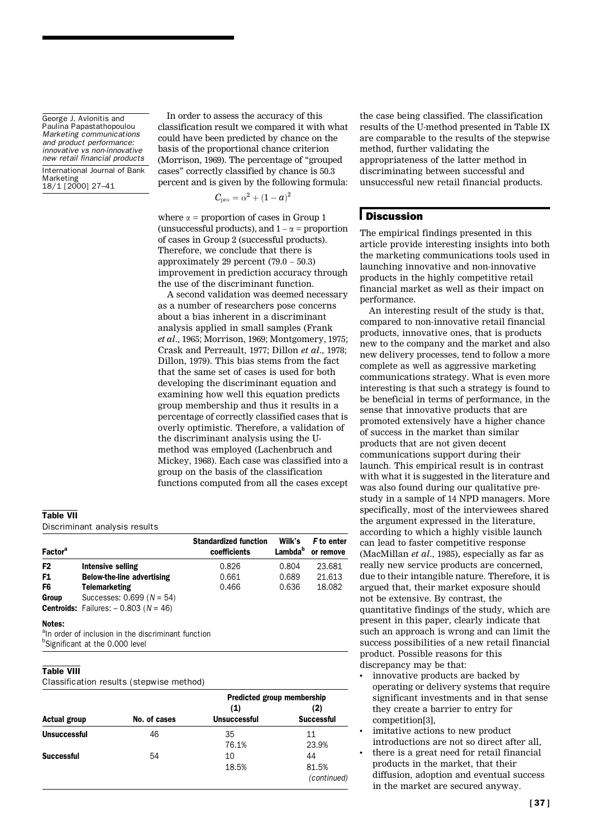In order to assess the accuracy of this classification result we compared it with what could have been predicted by chance on the basis of the proportional chance criterion (Morrison, 1969). The percentage of "grouped cases'' correctly classified by chance is 50.3 percent and is given by the following formula:

$$
C_{\rm pro} = \alpha^2 + (1 - a)^2
$$

where  $\alpha$  = proportion of cases in Group 1 (unsuccessful products), and  $1 - \alpha$  = proportion of cases in Group 2 (successful products). Therefore, we conclude that there is approximately 29 percent  $(79.0 - 50.3)$ improvement in prediction accuracy through the use of the discriminant function.

A second validation was deemed necessary as a number of researchers pose concerns about a bias inherent in a discriminant analysis applied in small samples (Frank et al., 1965; Morrison, 1969; Montgomery, 1975; Crask and Perreault, 1977; Dillon et al., 1978; Dillon, 1979). This bias stems from the fact that the same set of cases is used for both developing the discriminant equation and examining how well this equation predicts group membership and thus it results in a percentage of correctly classified cases that is overly optimistic. Therefore, a validation of the discriminant analysis using the Umethod was employed (Lachenbruch and Mickey, 1968). Each case was classified into a group on the basis of the classification functions computed from all the cases except

## Table VII

Discriminant analysis results

| Factor <sup>a</sup> |                                   | <b>Standardized function</b><br>coefficients | Wilk's<br>Lambda <sup>b</sup> | F to enter<br>or remove |
|---------------------|-----------------------------------|----------------------------------------------|-------------------------------|-------------------------|
| F2                  | Intensive selling                 | 0.826                                        | 0.804                         | 23.681                  |
| F1                  | <b>Below-the-line advertising</b> | 0.661                                        | 0.689                         | 21.613                  |
| F6                  | <b>Telemarketing</b>              | 0.466                                        | 0.636                         | 18.082                  |
| Group               | Successes: $0.699$ ( $N = 54$ )   |                                              |                               |                         |

**Centroids:** Failures:  $-0.803$  ( $N = 46$ )

Notes:

<sup>a</sup>In order of inclusion in the discriminant function Significant at the 0.000 level

#### Table VIII

Classification results (stepwise method)

|                     |              | Predicted group membership |                      |  |  |
|---------------------|--------------|----------------------------|----------------------|--|--|
|                     |              | (1)                        | (2)                  |  |  |
| <b>Actual group</b> | No. of cases | <b>Unsuccessful</b>        | <b>Successful</b>    |  |  |
| <b>Unsuccessful</b> | 46           | 35                         | 11                   |  |  |
|                     |              | 76.1%                      | 23.9%                |  |  |
| <b>Successful</b>   | 54           | 10                         | 44                   |  |  |
|                     |              | 18.5%                      | 81.5%<br>(continued) |  |  |

the case being classified. The classification results of the U-method presented in Table IX are comparable to the results of the stepwise method, further validating the appropriateness of the latter method in discriminating between successful and unsuccessful new retail financial products.

# **Discussion**

The empirical findings presented in this article provide interesting insights into both the marketing communications tools used in launching innovative and non-innovative products in the highly competitive retail financial market as well as their impact on performance.

An interesting result of the study is that, compared to non-innovative retail financial products, innovative ones, that is products new to the company and the market and also new delivery processes, tend to follow a more complete as well as aggressive marketing communications strategy. What is even more interesting is that such a strategy is found to be beneficial in terms of performance, in the sense that innovative products that are promoted extensively have a higher chance of success in the market than similar products that are not given decent communications support during their launch. This empirical result is in contrast with what it is suggested in the literature and was also found during our qualitative prestudy in a sample of 14 NPD managers. More specifically, most of the interviewees shared the argument expressed in the literature, according to which a highly visible launch can lead to faster competitive response (MacMillan et al., 1985), especially as far as really new service products are concerned, due to their intangible nature. Therefore, it is argued that, their market exposure should not be extensive. By contrast, the quantitative findings of the study, which are present in this paper, clearly indicate that such an approach is wrong and can limit the success possibilities of a new retail financial product. Possible reasons for this discrepancy may be that:

- . innovative products are backed by operating or delivery systems that require significant investments and in that sense they create a barrier to entry for competition[3],
- . imitative actions to new product introductions are not so direct after all, . there is a great need for retail financial products in the market, that their diffusion, adoption and eventual success in the market are secured anyway.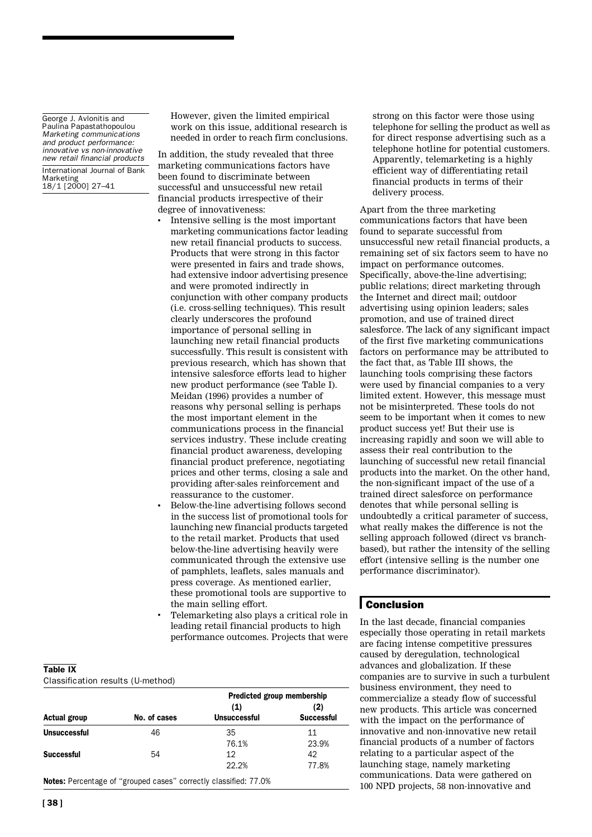However, given the limited empirical work on this issue, additional research is needed in order to reach firm conclusions.

In addition, the study revealed that three marketing communications factors have been found to discriminate between successful and unsuccessful new retail financial products irrespective of their degree of innovativeness:

- . Intensive selling is the most important marketing communications factor leading new retail financial products to success. Products that were strong in this factor were presented in fairs and trade shows, had extensive indoor advertising presence and were promoted indirectly in conjunction with other company products (i.e. cross-selling techniques). This result clearly underscores the profound importance of personal selling in launching new retail financial products successfully. This result is consistent with previous research, which has shown that intensive salesforce efforts lead to higher new product performance (see Table I). Meidan (1996) provides a number of reasons why personal selling is perhaps the most important element in the communications process in the financial services industry. These include creating financial product awareness, developing financial product preference, negotiating prices and other terms, closing a sale and providing after-sales reinforcement and reassurance to the customer.
- . Below-the-line advertising follows second in the success list of promotional tools for launching new financial products targeted to the retail market. Products that used below-the-line advertising heavily were communicated through the extensive use of pamphlets, leaflets, sales manuals and press coverage. As mentioned earlier, these promotional tools are supportive to the main selling effort.
- . Telemarketing also plays a critical role in leading retail financial products to high performance outcomes. Projects that were

#### Table IX

Classification results (U-method)

|                     |                                                                         | <b>Predicted group membership</b> |                   |  |
|---------------------|-------------------------------------------------------------------------|-----------------------------------|-------------------|--|
|                     |                                                                         | (1)                               | (2)               |  |
| Actual group        | No. of cases                                                            | <b>Unsuccessful</b>               | <b>Successful</b> |  |
| <b>Unsuccessful</b> | 46                                                                      | 35                                | 11                |  |
|                     |                                                                         | 76.1%                             | 23.9%             |  |
| <b>Successful</b>   | 54                                                                      | 12                                | 42                |  |
|                     |                                                                         | 22.2%                             | 77.8%             |  |
|                     | <b>Notes:</b> Percentage of "grouped cases" correctly classified: 77.0% |                                   |                   |  |

strong on this factor were those using telephone for selling the product as well as for direct response advertising such as a telephone hotline for potential customers. Apparently, telemarketing is a highly efficient way of differentiating retail financial products in terms of their delivery process.

Apart from the three marketing communications factors that have been found to separate successful from unsuccessful new retail financial products, a remaining set of six factors seem to have no impact on performance outcomes. Specifically, above-the-line advertising; public relations; direct marketing through the Internet and direct mail; outdoor advertising using opinion leaders; sales promotion, and use of trained direct salesforce. The lack of any significant impact of the first five marketing communications factors on performance may be attributed to the fact that, as Table III shows, the launching tools comprising these factors were used by financial companies to a very limited extent. However, this message must not be misinterpreted. These tools do not seem to be important when it comes to new product success yet! But their use is increasing rapidly and soon we will able to assess their real contribution to the launching of successful new retail financial products into the market. On the other hand, the non-significant impact of the use of a trained direct salesforce on performance denotes that while personal selling is undoubtedly a critical parameter of success, what really makes the difference is not the selling approach followed (direct vs branchbased), but rather the intensity of the selling effort (intensive selling is the number one performance discriminator).

# Conclusion

In the last decade, financial companies especially those operating in retail markets are facing intense competitive pressures caused by deregulation, technological advances and globalization. If these companies are to survive in such a turbulent business environment, they need to commercialize a steady flow of successful new products. This article was concerned with the impact on the performance of innovative and non-innovative new retail financial products of a number of factors relating to a particular aspect of the launching stage, namely marketing communications. Data were gathered on 100 NPD projects, 58 non-innovative and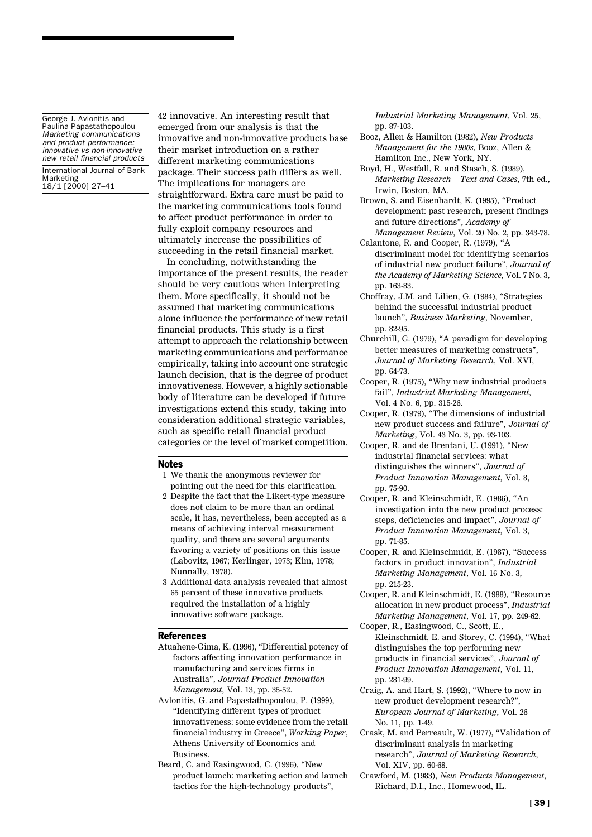42 innovative. An interesting result that emerged from our analysis is that the innovative and non-innovative products base their market introduction on a rather different marketing communications package. Their success path differs as well. The implications for managers are straightforward. Extra care must be paid to the marketing communications tools found to affect product performance in order to fully exploit company resources and ultimately increase the possibilities of succeeding in the retail financial market.

In concluding, notwithstanding the importance of the present results, the reader should be very cautious when interpreting them. More specifically, it should not be assumed that marketing communications alone influence the performance of new retail financial products. This study is a first attempt to approach the relationship between marketing communications and performance empirically, taking into account one strategic launch decision, that is the degree of product innovativeness. However, a highly actionable body of literature can be developed if future investigations extend this study, taking into consideration additional strategic variables, such as specific retail financial product categories or the level of market competition.

#### **Notes**

- 1 We thank the anonymous reviewer for pointing out the need for this clarification.
- 2 Despite the fact that the Likert-type measure does not claim to be more than an ordinal scale, it has, nevertheless, been accepted as a means of achieving interval measurement quality, and there are several arguments favoring a variety of positions on this issue (Labovitz, 1967; Kerlinger, 1973; Kim, 1978; Nunnally, 1978).
- 3 Additional data analysis revealed that almost 65 percent of these innovative products required the installation of a highly innovative software package.

#### **References**

- Atuahene-Gima, K. (1996), "Differential potency of factors affecting innovation performance in manufacturing and services firms in Australia'', Journal Product Innovation Management, Vol. 13, pp. 35-52.
- Avlonitis, G. and Papastathopoulou, P. (1999), ``Identifying different types of product innovativeness: some evidence from the retail financial industry in Greece'', Working Paper, Athens University of Economics and Business.
- Beard, C. and Easingwood, C. (1996), "New product launch: marketing action and launch tactics for the high-technology products'',

Industrial Marketing Management, Vol. 25, pp. 87-103.

- Booz, Allen & Hamilton (1982), New Products Management for the 1980s, Booz, Allen & Hamilton Inc., New York, NY.
- Boyd, H., Westfall, R. and Stasch, S. (1989), Marketing Research - Text and Cases, 7th ed., Irwin, Boston, MA.
- Brown, S. and Eisenhardt, K. (1995), "Product development: past research, present findings and future directions'', Academy of Management Review, Vol. 20 No. 2, pp. 343-78.
- Calantone, R. and Cooper, R. (1979), "A discriminant model for identifying scenarios of industrial new product failure'', Journal of the Academy of Marketing Science, Vol. 7 No. 3, pp. 163-83.
- Choffray, J.M. and Lilien, G. (1984), "Strategies behind the successful industrial product launch'', Business Marketing, November, pp. 82-95.
- Churchill, G. (1979), "A paradigm for developing better measures of marketing constructs'', Journal of Marketing Research, Vol. XVI, pp. 64-73.
- Cooper, R. (1975), "Why new industrial products fail'', Industrial Marketing Management, Vol. 4 No. 6, pp. 315-26.
- Cooper, R. (1979), "The dimensions of industrial new product success and failure'', Journal of Marketing, Vol. 43 No. 3, pp. 93-103.
- Cooper, R. and de Brentani, U. (1991), "New industrial financial services: what distinguishes the winners'', Journal of Product Innovation Management, Vol. 8, pp. 75-90.
- Cooper, R. and Kleinschmidt, E. (1986), "An investigation into the new product process: steps, deficiencies and impact'', Journal of Product Innovation Management, Vol. 3, pp. 71-85.
- Cooper, R. and Kleinschmidt, E. (1987), "Success factors in product innovation", Industrial Marketing Management, Vol. 16 No. 3, pp. 215-23.
- Cooper, R. and Kleinschmidt, E. (1988), "Resource allocation in new product process'', Industrial Marketing Management, Vol. 17, pp. 249-62.

Cooper, R., Easingwood, C., Scott, E., Kleinschmidt, E. and Storey, C. (1994), "What distinguishes the top performing new products in financial services'', Journal of Product Innovation Management, Vol. 11, pp. 281-99.

- Craig, A. and Hart, S. (1992), "Where to now in new product development research?'', European Journal of Marketing, Vol. 26 No. 11, pp. 1-49.
- Crask, M. and Perreault, W. (1977), "Validation of discriminant analysis in marketing research'', Journal of Marketing Research, Vol. XIV, pp. 60-68.
- Crawford, M. (1983), New Products Management, Richard, D.I., Inc., Homewood, IL.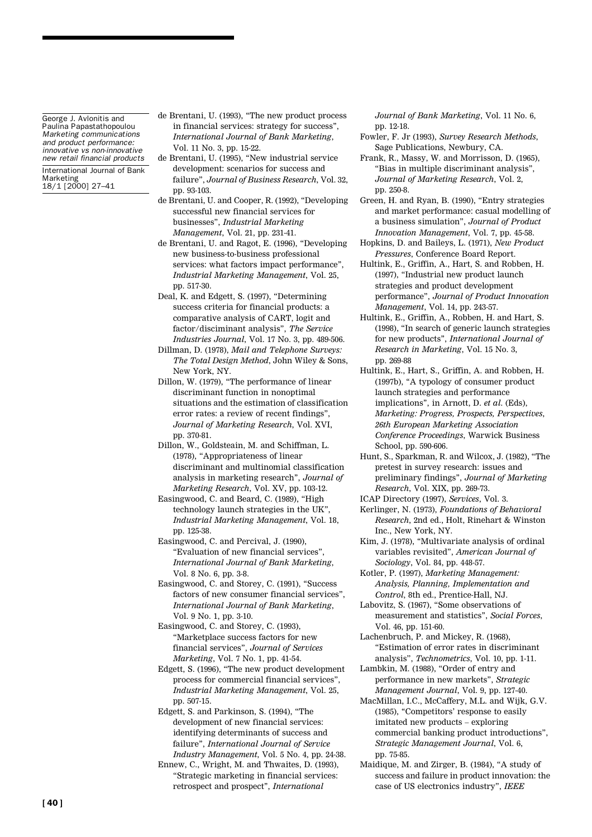- de Brentani, U. (1993), "The new product process in financial services: strategy for success'', International Journal of Bank Marketing, Vol. 11 No. 3, pp. 15-22.
- de Brentani, U. (1995), "New industrial service development: scenarios for success and failure'', Journal of Business Research, Vol. 32, pp. 93-103.
- de Brentani, U. and Cooper, R. (1992), "Developing successful new financial services for businesses'', Industrial Marketing Management, Vol. 21, pp. 231-41.
- de Brentani, U. and Ragot, E. (1996), "Developing new business-to-business professional services: what factors impact performance'', Industrial Marketing Management, Vol. 25, pp. 517-30.
- Deal, K. and Edgett, S. (1997), "Determining success criteria for financial products: a comparative analysis of CART, logit and factor/disciminant analysis'', The Service Industries Journal, Vol. 17 No. 3, pp. 489-506.
- Dillman, D. (1978), Mail and Telephone Surveys: The Total Design Method, John Wiley & Sons, New York, NY.
- Dillon, W. (1979), "The performance of linear discriminant function in nonoptimal situations and the estimation of classification error rates: a review of recent findings'', Journal of Marketing Research, Vol. XVI, pp. 370-81.
- Dillon, W., Goldsteain, M. and Schiffman, L. (1978), "Appropriateness of linear discriminant and multinomial classification analysis in marketing research'', Journal of Marketing Research, Vol. XV, pp. 103-12.
- Easingwood, C. and Beard, C. (1989), "High technology launch strategies in the UK'', Industrial Marketing Management, Vol. 18, pp. 125-38.
- Easingwood, C. and Percival, J. (1990), ``Evaluation of new financial services'', International Journal of Bank Marketing, Vol. 8 No. 6, pp. 3-8.
- Easingwood, C. and Storey, C. (1991), "Success factors of new consumer financial services'', International Journal of Bank Marketing, Vol. 9 No. 1, pp. 3-10.
- Easingwood, C. and Storey, C. (1993), ``Marketplace success factors for new financial services'', Journal of Services Marketing, Vol. 7 No. 1, pp. 41-54.
- Edgett, S. (1996), "The new product development process for commercial financial services'', Industrial Marketing Management, Vol. 25, pp. 507-15.
- Edgett, S. and Parkinson, S. (1994), "The development of new financial services: identifying determinants of success and failure'', International Journal of Service Industry Management, Vol. 5 No. 4, pp. 24-38.
- Ennew, C., Wright, M. and Thwaites, D. (1993), ``Strategic marketing in financial services: retrospect and prospect'', International

Journal of Bank Marketing, Vol. 11 No. 6, pp. 12-18.

- Fowler, F. Jr (1993), Survey Research Methods, Sage Publications, Newbury, CA.
- Frank, R., Massy, W. and Morrisson, D. (1965), ``Bias in multiple discriminant analysis'', Journal of Marketing Research, Vol. 2, pp. 250-8.
- Green, H. and Ryan, B. (1990), "Entry strategies and market performance: casual modelling of a business simulation'', Journal of Product Innovation Management, Vol. 7, pp. 45-58.
- Hopkins, D. and Baileys, L. (1971), New Product Pressures, Conference Board Report.
- Hultink, E., Griffin, A., Hart, S. and Robben, H. (1997), "Industrial new product launch strategies and product development performance'', Journal of Product Innovation Management, Vol. 14, pp. 243-57.
- Hultink, E., Griffin, A., Robben, H. and Hart, S. (1998), "In search of generic launch strategies for new products'', International Journal of Research in Marketing, Vol. 15 No. 3, pp. 269-88
- Hultink, E., Hart, S., Griffin, A. and Robben, H. (1997b), "A typology of consumer product launch strategies and performance implications", in Arnott, D. et al. (Eds), Marketing: Progress, Prospects, Perspectives, 26th European Marketing Association Conference Proceedings, Warwick Business School, pp. 590-606.
- Hunt, S., Sparkman, R. and Wilcox, J. (1982), "The pretest in survey research: issues and preliminary findings'', Journal of Marketing Research, Vol. XIX, pp. 269-73.
- ICAP Directory (1997), Services, Vol. 3.
- Kerlinger, N. (1973), Foundations of Behavioral Research, 2nd ed., Holt, Rinehart & Winston Inc., New York, NY.
- Kim, J. (1978), "Multivariate analysis of ordinal variables revisited'', American Journal of Sociology, Vol. 84, pp. 448-57.
- Kotler, P. (1997), Marketing Management: Analysis, Planning, Implementation and Control, 8th ed., Prentice-Hall, NJ.
- Labovitz, S. (1967), "Some observations of measurement and statistics'', Social Forces, Vol. 46, pp. 151-60.
- Lachenbruch, P. and Mickey, R. (1968), ``Estimation of error rates in discriminant analysis'', Technometrics, Vol. 10, pp. 1-11.
- Lambkin, M. (1988), "Order of entry and performance in new markets'', Strategic Management Journal, Vol. 9, pp. 127-40.
- MacMillan, I.C., McCaffery, M.L. and Wijk, G.V. (1985), "Competitors' response to easily imitated new products - exploring commercial banking product introductions'', Strategic Management Journal, Vol. 6, pp. 75-85.
- Maidique, M. and Zirger, B. (1984), "A study of success and failure in product innovation: the case of US electronics industry'', IEEE